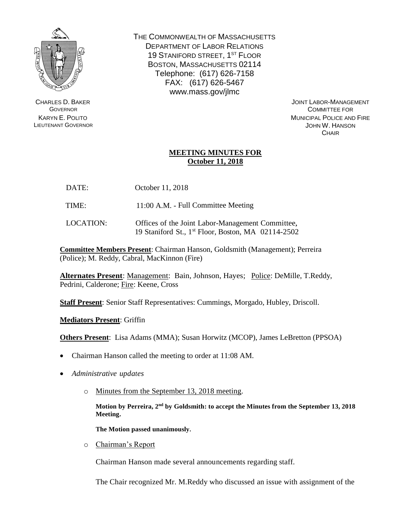

CHARLES D. BAKER **GOVERNOR** KARYN E. POLITO LIEUTENANT GOVERNOR THE COMMONWEALTH OF MASSACHUSETTS DEPARTMENT OF LABOR RELATIONS 19 STANIFORD STREET, 1<sup>ST</sup> FLOOR BOSTON, MASSACHUSETTS 02114 Telephone: (617) 626-7158 FAX: (617) 626-5467 www.mass.gov/jlmc

> JOINT LABOR-MANAGEMENT COMMITTEE FOR MUNICIPAL POLICE AND FIRE JOHN W. HANSON **CHAIR**

## **MEETING MINUTES FOR October 11, 2018**

- DATE: October 11, 2018
- TIME: 11:00 A.M. Full Committee Meeting
- LOCATION: Offices of the Joint Labor-Management Committee, 19 Staniford St., 1 st Floor, Boston, MA 02114-2502

**Committee Members Present**: Chairman Hanson, Goldsmith (Management); Perreira (Police); M. Reddy, Cabral, MacKinnon (Fire)

**Alternates Present**: Management: Bain, Johnson, Hayes; Police: DeMille, T.Reddy, Pedrini, Calderone; Fire: Keene, Cross

**Staff Present**: Senior Staff Representatives: Cummings, Morgado, Hubley, Driscoll.

**Mediators Present**: Griffin

**Others Present**: Lisa Adams (MMA); Susan Horwitz (MCOP), James LeBretton (PPSOA)

- Chairman Hanson called the meeting to order at 11:08 AM.
- *Administrative updates*
	- o Minutes from the September 13, 2018 meeting.

**Motion by Perreira, 2 nd by Goldsmith: to accept the Minutes from the September 13, 2018 Meeting.** 

**The Motion passed unanimously.**

o Chairman's Report

Chairman Hanson made several announcements regarding staff.

The Chair recognized Mr. M.Reddy who discussed an issue with assignment of the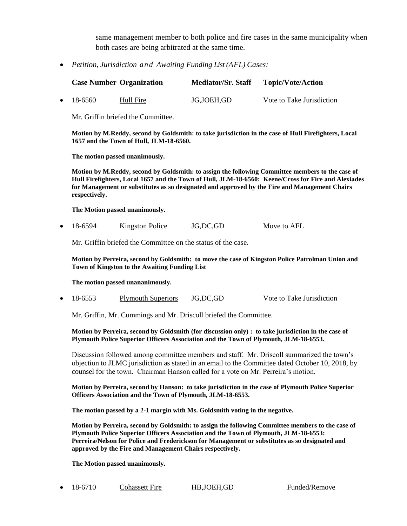same management member to both police and fire cases in the same municipality when both cases are being arbitrated at the same time.

*Petition, Jurisdiction and Awaiting Funding List (AFL) Cases:*

|                   | <b>Case Number Organization</b> | <b>Mediator/Sr. Staff</b> | Topic/Vote/Action         |
|-------------------|---------------------------------|---------------------------|---------------------------|
| $\bullet$ 18-6560 | Hull Fire                       | JG,JOEH,GD                | Vote to Take Jurisdiction |

Mr. Griffin briefed the Committee.

**Motion by M.Reddy, second by Goldsmith: to take jurisdiction in the case of Hull Firefighters, Local 1657 and the Town of Hull, JLM-18-6560.** 

**The motion passed unanimously.** 

**Motion by M.Reddy, second by Goldsmith: to assign the following Committee members to the case of Hull Firefighters, Local 1657 and the Town of Hull, JLM-18-6560: Keene/Cross for Fire and Alexiades for Management or substitutes as so designated and approved by the Fire and Management Chairs respectively.** 

**The Motion passed unanimously.**

18-6594 Kingston Police JG,DC,GD Move to AFL

Mr. Griffin briefed the Committee on the status of the case.

**Motion by Perreira, second by Goldsmith: to move the case of Kingston Police Patrolman Union and Town of Kingston to the Awaiting Funding List**

**The motion passed unananimously.** 

18-6553 Plymouth Superiors JG,DC,GD Vote to Take Jurisdiction

Mr. Griffin, Mr. Cummings and Mr. Driscoll briefed the Committee.

## **Motion by Perreira, second by Goldsmith (for discussion only) : to take jurisdiction in the case of Plymouth Police Superior Officers Association and the Town of Plymouth, JLM-18-6553.**

Discussion followed among committee members and staff. Mr. Driscoll summarized the town's objection to JLMC jurisdiction as stated in an email to the Committee dated October 10, 2018, by counsel for the town. Chairman Hanson called for a vote on Mr. Perreira's motion.

**Motion by Perreira, second by Hanson: to take jurisdiction in the case of Plymouth Police Superior Officers Association and the Town of Plymouth, JLM-18-6553.** 

**The motion passed by a 2-1 margin with Ms. Goldsmith voting in the negative.** 

**Motion by Perreira, second by Goldsmith: to assign the following Committee members to the case of Plymouth Police Superior Officers Association and the Town of Plymouth, JLM-18-6553: Perreira/Nelson for Police and Frederickson for Management or substitutes as so designated and approved by the Fire and Management Chairs respectively.** 

**The Motion passed unanimously.**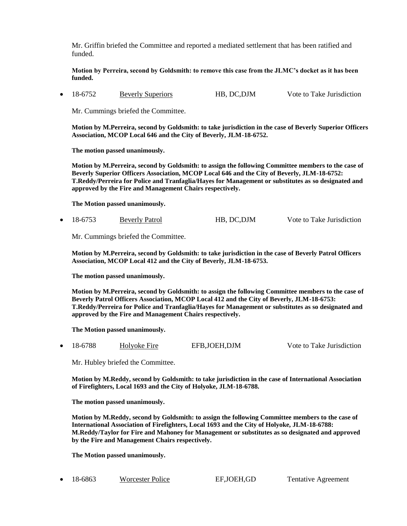Mr. Griffin briefed the Committee and reported a mediated settlement that has been ratified and funded.

**Motion by Perreira, second by Goldsmith: to remove this case from the JLMC's docket as it has been funded.**

18-6752 Beverly Superiors HB, DC,DJM Vote to Take Jurisdiction

Mr. Cummings briefed the Committee.

**Motion by M.Perreira, second by Goldsmith: to take jurisdiction in the case of Beverly Superior Officers Association, MCOP Local 646 and the City of Beverly, JLM-18-6752.** 

**The motion passed unanimously.** 

**Motion by M.Perreira, second by Goldsmith: to assign the following Committee members to the case of Beverly Superior Officers Association, MCOP Local 646 and the City of Beverly, JLM-18-6752: T.Reddy/Perreira for Police and Tranfaglia/Hayes for Management or substitutes as so designated and approved by the Fire and Management Chairs respectively.** 

**The Motion passed unanimously.**

|  | $\bullet$ 18-6753 | <b>Beverly Patrol</b> | HB, DC, DJM | Vote to Take Jurisdiction |
|--|-------------------|-----------------------|-------------|---------------------------|
|--|-------------------|-----------------------|-------------|---------------------------|

Mr. Cummings briefed the Committee.

**Motion by M.Perreira, second by Goldsmith: to take jurisdiction in the case of Beverly Patrol Officers Association, MCOP Local 412 and the City of Beverly, JLM-18-6753.** 

**The motion passed unanimously.** 

**Motion by M.Perreira, second by Goldsmith: to assign the following Committee members to the case of Beverly Patrol Officers Association, MCOP Local 412 and the City of Beverly, JLM-18-6753: T.Reddy/Perreira for Police and Tranfaglia/Hayes for Management or substitutes as so designated and approved by the Fire and Management Chairs respectively.** 

**The Motion passed unanimously.**

18-6788 Holyoke Fire EFB,JOEH,DJM Vote to Take Jurisdiction

Mr. Hubley briefed the Committee.

**Motion by M.Reddy, second by Goldsmith: to take jurisdiction in the case of International Association of Firefighters, Local 1693 and the City of Holyoke, JLM-18-6788.** 

**The motion passed unanimously.** 

**Motion by M.Reddy, second by Goldsmith: to assign the following Committee members to the case of International Association of Firefighters, Local 1693 and the City of Holyoke, JLM-18-6788: M.Reddy/Taylor for Fire and Mahoney for Management or substitutes as so designated and approved by the Fire and Management Chairs respectively.** 

**The Motion passed unanimously.**